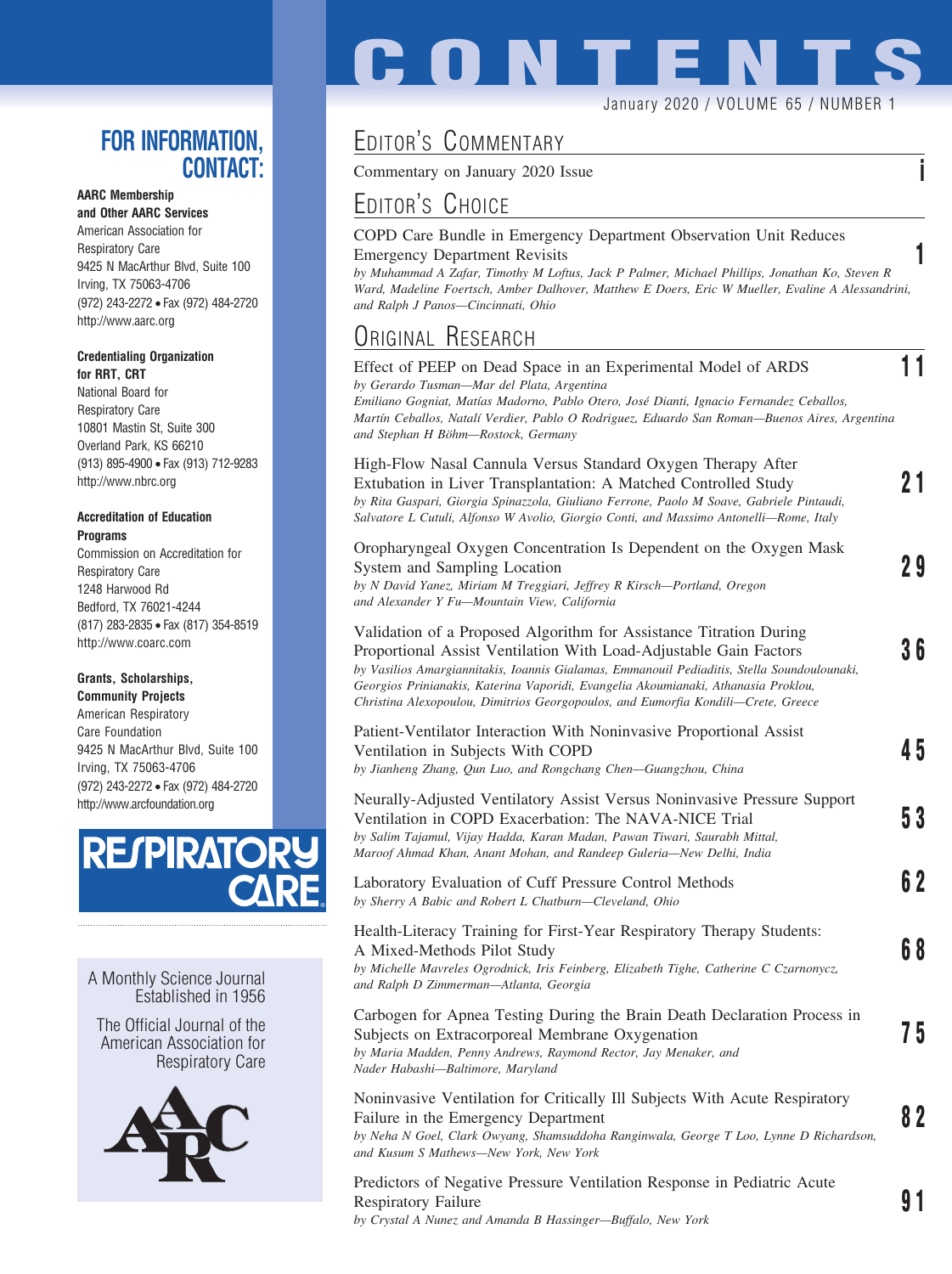## **FOR INFORMATION, CONTACT:**

### **AARC Membership**

**and Other AARC Services** American Association for Respiratory Care 9425 N MacArthur Blvd, Suite 100 Irving, TX 75063-4706 (972) 243-2272 • Fax (972) 484-2720 http://www.aarc.org

#### **Credentialing Organization for RRT, CRT**

National Board for Respiratory Care 10801 Mastin St, Suite 300 Overland Park, KS 66210 (913) 895-4900 • Fax (913) 712-9283 http://www.nbrc.org

#### **Accreditation of Education Programs**

Commission on Accreditation for Respiratory Care 1248 Harwood Rd Bedford, TX 76021-4244 (817) 283-2835 • Fax (817) 354-8519 http://www.coarc.com

#### **Grants, Scholarships,**

**Community Projects** American Respiratory Care Foundation 9425 N MacArthur Blvd, Suite 100 Irving, TX 75063-4706 (972) 243-2272 • Fax (972) 484-2720 http://www.arcfoundation.org



A Monthly Science Journal Established in 1956

The Official Journal of the American Association for Respiratory Care



# **CONTENTS**

#### January 2020 / VOLUME 65 / NUMBER 1

## EDITOR'S COMMENTARY

Commentary on January 2020 Issue **i**

## EDITOR'S CHOICE

#### COPD Care Bundle in Emergency Department Observation Unit Reduces Emergency Department Revisits **1**

*by Muhammad A Zafar, Timothy M Loftus, Jack P Palmer, Michael Phillips, Jonathan Ko, Steven R Ward, Madeline Foertsch, Amber Dalhover, Matthew E Doers, Eric W Mueller, Evaline A Alessandrini, and Ralph J Panos—Cincinnati, Ohio*

## ORIGINAL RESEARCH

| Effect of PEEP on Dead Space in an Experimental Model of ARDS<br>by Gerardo Tusman-Mar del Plata, Argentina<br>Emiliano Gogniat, Matías Madorno, Pablo Otero, José Dianti, Ignacio Fernandez Ceballos,<br>Martín Ceballos, Natalí Verdier, Pablo O Rodriguez, Eduardo San Roman-Buenos Aires, Argentina<br>and Stephan H Böhm-Rostock, Germany                                                                    |     |
|-------------------------------------------------------------------------------------------------------------------------------------------------------------------------------------------------------------------------------------------------------------------------------------------------------------------------------------------------------------------------------------------------------------------|-----|
| High-Flow Nasal Cannula Versus Standard Oxygen Therapy After<br>Extubation in Liver Transplantation: A Matched Controlled Study<br>by Rita Gaspari, Giorgia Spinazzola, Giuliano Ferrone, Paolo M Soave, Gabriele Pintaudi,<br>Salvatore L Cutuli, Alfonso W Avolio, Giorgio Conti, and Massimo Antonelli-Rome, Italy                                                                                             | 21  |
| Oropharyngeal Oxygen Concentration Is Dependent on the Oxygen Mask<br>System and Sampling Location<br>by N David Yanez, Miriam M Treggiari, Jeffrey R Kirsch-Portland, Oregon<br>and Alexander Y Fu-Mountain View, California                                                                                                                                                                                     | 29  |
| Validation of a Proposed Algorithm for Assistance Titration During<br>Proportional Assist Ventilation With Load-Adjustable Gain Factors<br>by Vasilios Amargiannitakis, Ioannis Gialamas, Emmanouil Pediaditis, Stella Soundoulounaki,<br>Georgios Prinianakis, Katerina Vaporidi, Evangelia Akoumianaki, Athanasia Proklou,<br>Christina Alexopoulou, Dimitrios Georgopoulos, and Eumorfia Kondili-Crete, Greece | 36  |
| Patient-Ventilator Interaction With Noninvasive Proportional Assist<br>Ventilation in Subjects With COPD<br>by Jianheng Zhang, Qun Luo, and Rongchang Chen-Guangzhou, China                                                                                                                                                                                                                                       | 45  |
| Neurally-Adjusted Ventilatory Assist Versus Noninvasive Pressure Support<br>Ventilation in COPD Exacerbation: The NAVA-NICE Trial<br>by Salim Tajamul, Vijay Hadda, Karan Madan, Pawan Tiwari, Saurabh Mittal,<br>Maroof Ahmad Khan, Anant Mohan, and Randeep Guleria-New Delhi, India                                                                                                                            | 53  |
| Laboratory Evaluation of Cuff Pressure Control Methods<br>by Sherry A Babic and Robert L Chatburn-Cleveland, Ohio                                                                                                                                                                                                                                                                                                 | 6 2 |
| Health-Literacy Training for First-Year Respiratory Therapy Students:<br>A Mixed-Methods Pilot Study<br>by Michelle Mavreles Ogrodnick, Iris Feinberg, Elizabeth Tighe, Catherine C Czarnonycz,<br>and Ralph D Zimmerman-Atlanta, Georgia                                                                                                                                                                         | 68  |
| Carbogen for Apnea Testing During the Brain Death Declaration Process in<br>Subjects on Extracorporeal Membrane Oxygenation<br>by Maria Madden, Penny Andrews, Raymond Rector, Jay Menaker, and<br>Nader Habashi-Baltimore, Maryland                                                                                                                                                                              | 75  |
| Noninvasive Ventilation for Critically Ill Subjects With Acute Respiratory<br>Failure in the Emergency Department<br>by Neha N Goel, Clark Owyang, Shamsuddoha Ranginwala, George T Loo, Lynne D Richardson,<br>and Kusum S Mathews-New York, New York                                                                                                                                                            | 82  |
|                                                                                                                                                                                                                                                                                                                                                                                                                   |     |

Predictors of Negative Pressure Ventilation Response in Pediatric Acute Respiratory Failure **9 1** *by Crystal A Nunez and Amanda B Hassinger—Buffalo, New York*